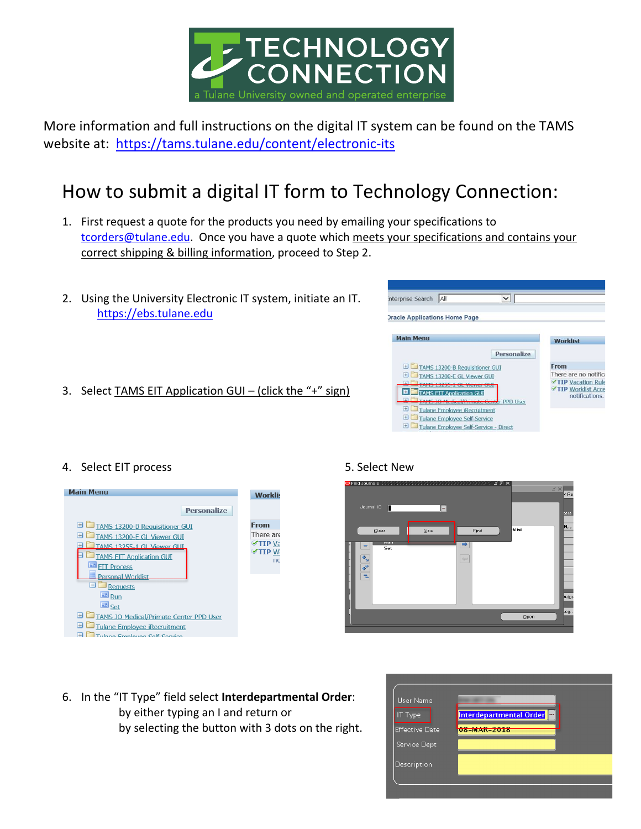

More information and full instructions on the digital IT system can be found on the TAMS website at: https://tams.tulane.edu/content/electronic-its

## How to submit a digital IT form to Technology Connection:

- 1. First request a quote for the products you need by emailing your specifications to tcorders@tulane.edu. Once you have a quote which meets your specifications and contains your correct shipping & billing information, proceed to Step 2.
- 2. Using the University Electronic IT system, initiate an IT. https://ebs.tulane.edu
- 3. Select TAMS EIT Application GUI (click the "+" sign)



## 4. Select EIT process 6. The Select New Strategies and Select New Strategies of the Select New Strategies of the Select New Strategies of the Select New Strategies of the Select New Strategies of the Select New Strategies





6. In the "IT Type" field select **Interdepartmental Order**: by either typing an I and return or by selecting the button with 3 dots on the right.